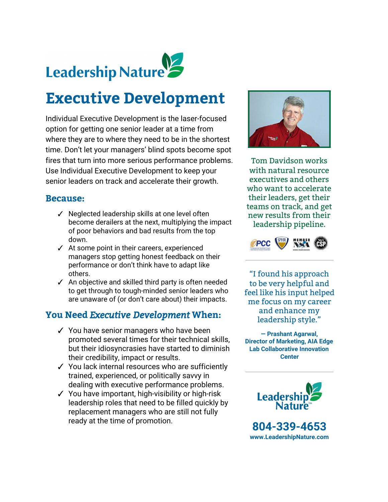

# **Executive Development**

Individual Executive Development is the laser-focused option for getting one senior leader at a time from where they are to where they need to be in the shortest time. Don't let your managers' blind spots become spot fires that turn into more serious performance problems. Use Individual Executive Development to keep your senior leaders on track and accelerate their growth.

### **Because:**

- ✓ Neglected leadership skills at one level often become derailers at the next, multiplying the impact of poor behaviors and bad results from the top down.
- ✓ At some point in their careers, experienced managers stop getting honest feedback on their performance or don't think have to adapt like others.
- ✓ An objective and skilled third party is often needed to get through to tough-minded senior leaders who are unaware of (or don't care about) their impacts.

## **You Need** *Executive Development***When:**

- ✓ You have senior managers who have been promoted several times for their technical skills, but their idiosyncrasies have started to diminish their credibility, impact or results.
- ✓ You lack internal resources who are sufficiently trained, experienced, or politically savvy in dealing with executive performance problems.
- ✓ You have important, high-visibility or high-risk leadership roles that need to be filled quickly by replacement managers who are still not fully ready at the time of promotion.



Tom Davidson works with natural resource executives and others who want to accelerate their leaders, get their teams on track, and get new results from their leadership pipeline.



"I found his approach to be very helpful and feel like his input helped me focus on my career and enhance my leadership style."

**— Prashant Agarwal, Director of Marketing, AIA Edge Lab Collaborative Innovation Center**



**804-339-4653 [www.LeadershipNature.com](http://www.leadershipnature.com/)**